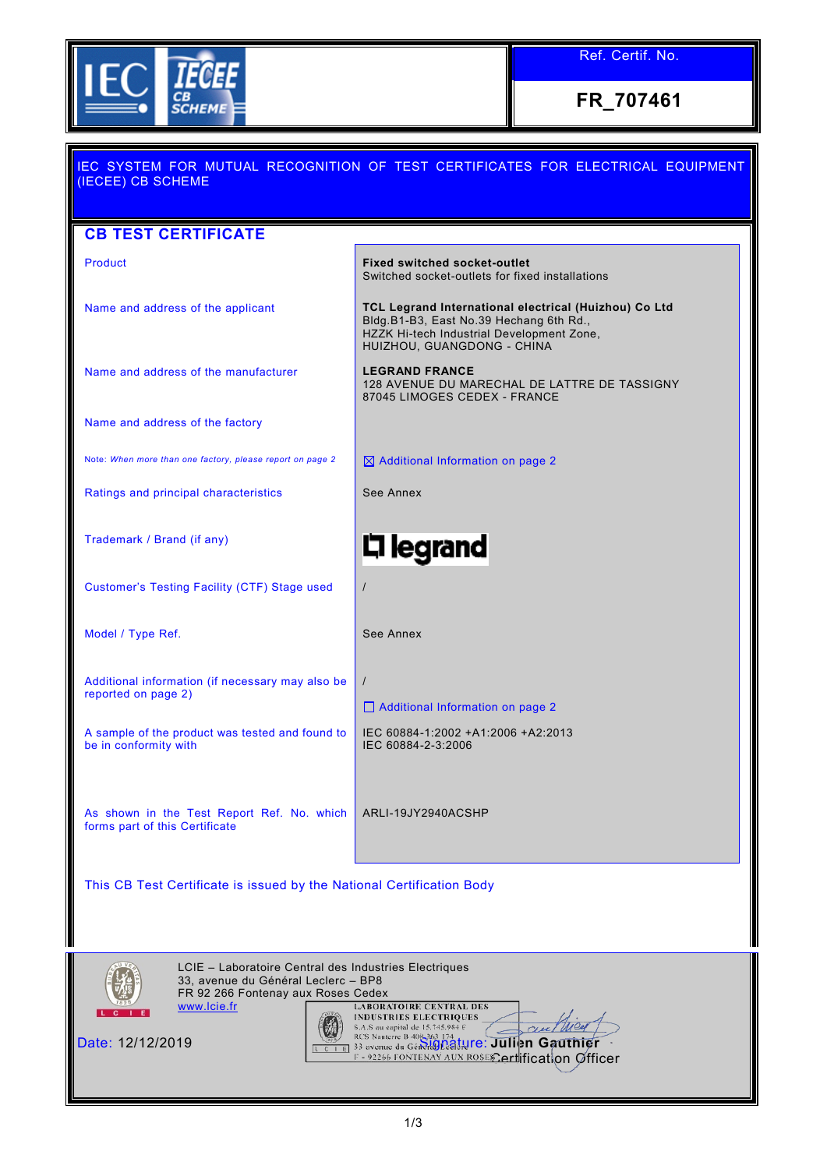

Ref. Certif. No.

**FR\_707461**

| IEC SYSTEM FOR MUTUAL RECOGNITION OF TEST CERTIFICATES FOR ELECTRICAL EQUIPMENT<br>(IECEE) CB SCHEME                                                                                |                                                                                                                                                                             |  |  |  |  |
|-------------------------------------------------------------------------------------------------------------------------------------------------------------------------------------|-----------------------------------------------------------------------------------------------------------------------------------------------------------------------------|--|--|--|--|
| <b>CB TEST CERTIFICATE</b>                                                                                                                                                          |                                                                                                                                                                             |  |  |  |  |
| Product                                                                                                                                                                             | <b>Fixed switched socket-outlet</b><br>Switched socket-outlets for fixed installations                                                                                      |  |  |  |  |
| Name and address of the applicant                                                                                                                                                   | TCL Legrand International electrical (Huizhou) Co Ltd<br>Bldg.B1-B3, East No.39 Hechang 6th Rd.,<br>HZZK Hi-tech Industrial Development Zone,<br>HUIZHOU, GUANGDONG - CHINA |  |  |  |  |
| Name and address of the manufacturer                                                                                                                                                | <b>LEGRAND FRANCE</b><br>128 AVENUE DU MARECHAL DE LATTRE DE TASSIGNY<br>87045 LIMOGES CEDEX - FRANCE                                                                       |  |  |  |  |
| Name and address of the factory                                                                                                                                                     |                                                                                                                                                                             |  |  |  |  |
| Note: When more than one factory, please report on page 2                                                                                                                           | $\boxtimes$ Additional Information on page 2                                                                                                                                |  |  |  |  |
| Ratings and principal characteristics                                                                                                                                               | See Annex                                                                                                                                                                   |  |  |  |  |
| Trademark / Brand (if any)                                                                                                                                                          | <b>디 legrand</b>                                                                                                                                                            |  |  |  |  |
| Customer's Testing Facility (CTF) Stage used                                                                                                                                        | $\prime$                                                                                                                                                                    |  |  |  |  |
| Model / Type Ref.                                                                                                                                                                   | See Annex                                                                                                                                                                   |  |  |  |  |
| Additional information (if necessary may also be<br>reported on page 2)                                                                                                             | $\prime$<br>□ Additional Information on page 2                                                                                                                              |  |  |  |  |
| A sample of the product was tested and found to<br>be in conformity with                                                                                                            | IEC 60884-1:2002 +A1:2006 +A2:2013<br>IEC 60884-2-3:2006                                                                                                                    |  |  |  |  |
| As shown in the Test Report Ref. No. which<br>forms part of this Certificate                                                                                                        | ARLI-19JY2940ACSHP                                                                                                                                                          |  |  |  |  |
| This CB Test Certificate is issued by the National Certification Body                                                                                                               |                                                                                                                                                                             |  |  |  |  |
| LCIE - Laboratoire Central des Industries Electriques<br>33, avenue du Général Leclerc - BP8<br>FR 92 266 Fontenay aux Roses Cedex<br>www.lcie.fr<br><b>LABORATOIRE CENTRAL DES</b> |                                                                                                                                                                             |  |  |  |  |



Date: 12/12/2019 **Signature: Julien Gauthier** Certification Officer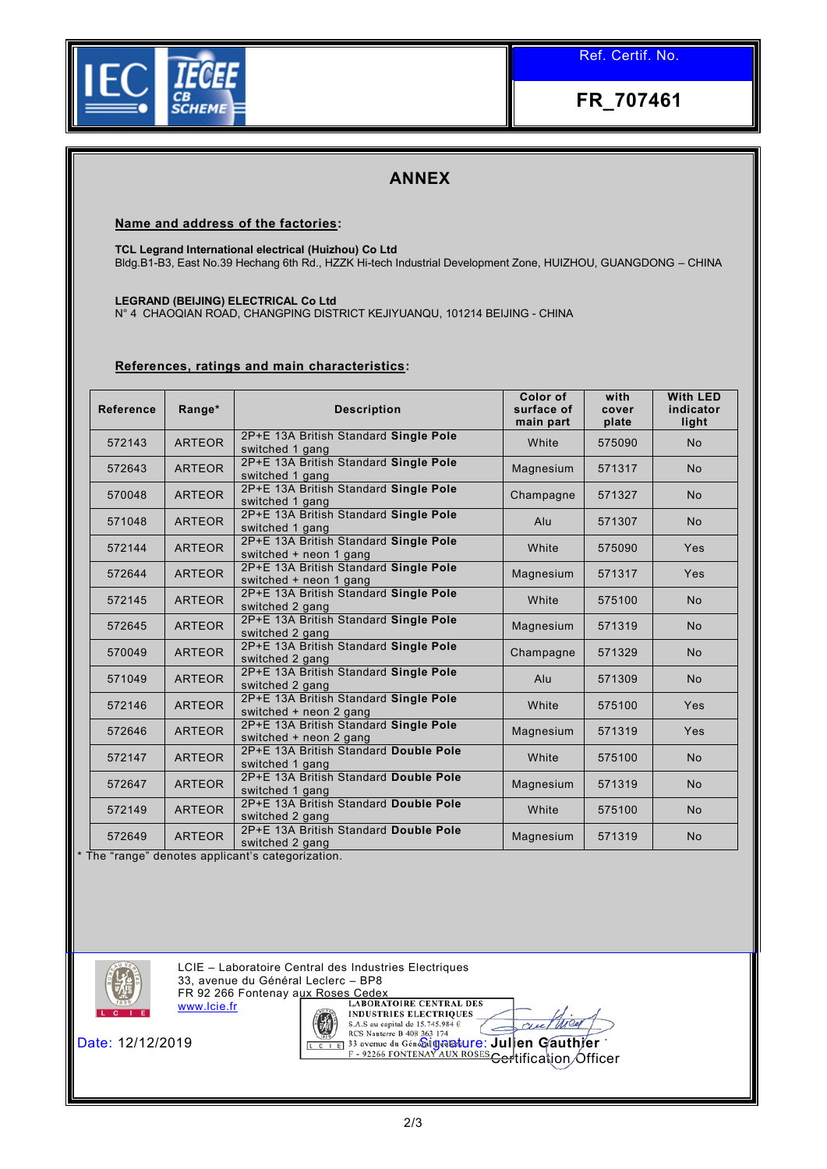

**FR\_707461**

## **ANNEX**

**Name and address of the factories:**

**TCL Legrand International electrical (Huizhou) Co Ltd**

Bldg.B1-B3, East No.39 Hechang 6th Rd., HZZK Hi-tech Industrial Development Zone, HUIZHOU, GUANGDONG – CHINA

**LEGRAND (BEIJING) ELECTRICAL Co Ltd** 

N° 4 CHAOQIAN ROAD, CHANGPING DISTRICT KEJIYUANQU, 101214 BEIJING - CHINA

## **References, ratings and main characteristics:**

| <b>Reference</b> | Range*        | <b>Description</b>                                              | Color of<br>surface of<br>main part | with<br>cover<br>plate | <b>With LED</b><br>indicator<br>light |
|------------------|---------------|-----------------------------------------------------------------|-------------------------------------|------------------------|---------------------------------------|
| 572143           | <b>ARTEOR</b> | 2P+E 13A British Standard Single Pole<br>switched 1 gang        | White                               | 575090                 | <b>No</b>                             |
| 572643           | <b>ARTEOR</b> | 2P+E 13A British Standard Single Pole<br>switched 1 gang        | Magnesium                           | 571317                 | <b>No</b>                             |
| 570048           | <b>ARTEOR</b> | 2P+E 13A British Standard Single Pole<br>switched 1 gang        | Champagne                           | 571327                 | <b>No</b>                             |
| 571048           | <b>ARTEOR</b> | 2P+E 13A British Standard Single Pole<br>switched 1 gang        | Alu                                 | 571307                 | <b>No</b>                             |
| 572144           | <b>ARTEOR</b> | 2P+E 13A British Standard Single Pole<br>switched + neon 1 gang | White                               | 575090                 | Yes                                   |
| 572644           | <b>ARTEOR</b> | 2P+E 13A British Standard Single Pole<br>switched + neon 1 gang | Magnesium                           | 571317                 | Yes                                   |
| 572145           | <b>ARTEOR</b> | 2P+E 13A British Standard Single Pole<br>switched 2 gang        | White                               | 575100                 | <b>No</b>                             |
| 572645           | <b>ARTEOR</b> | 2P+E 13A British Standard Single Pole<br>switched 2 gang        | Magnesium                           | 571319                 | <b>No</b>                             |
| 570049           | <b>ARTEOR</b> | 2P+E 13A British Standard Single Pole<br>switched 2 gang        | Champagne                           | 571329                 | <b>No</b>                             |
| 571049           | <b>ARTEOR</b> | 2P+E 13A British Standard Single Pole<br>switched 2 gang        | Alu                                 | 571309                 | <b>No</b>                             |
| 572146           | <b>ARTEOR</b> | 2P+E 13A British Standard Single Pole<br>switched + neon 2 gang | White                               | 575100                 | Yes                                   |
| 572646           | <b>ARTEOR</b> | 2P+E 13A British Standard Single Pole<br>switched + neon 2 gang | Magnesium                           | 571319                 | Yes                                   |
| 572147           | <b>ARTEOR</b> | 2P+E 13A British Standard Double Pole<br>switched 1 gang        | White                               | 575100                 | <b>No</b>                             |
| 572647           | <b>ARTEOR</b> | 2P+E 13A British Standard Double Pole<br>switched 1 gang        | Magnesium                           | 571319                 | <b>No</b>                             |
| 572149           | <b>ARTEOR</b> | 2P+E 13A British Standard Double Pole<br>switched 2 gang        | White                               | 575100                 | No                                    |
| 572649           | <b>ARTEOR</b> | 2P+E 13A British Standard Double Pole<br>switched 2 gang        | Magnesium                           | 571319                 | <b>No</b>                             |

\* The "range" denotes applicant's categorization.



LCIE – Laboratoire Central des Industries Electriques 33, avenue du Général Leclerc – BP8

FR 92 266 Fontenay aux Roses Cedex<br>WWW. Icia fr. LABORATOIRE CENTRAL DES [www.lcie.fr](http://www.lcie.fr/)



**INDUSTRIES ELECTRIQUES** Date: 12/12/2019 Signature: **Julien Gauthier** <del>Cer</del>tification *O*fficer